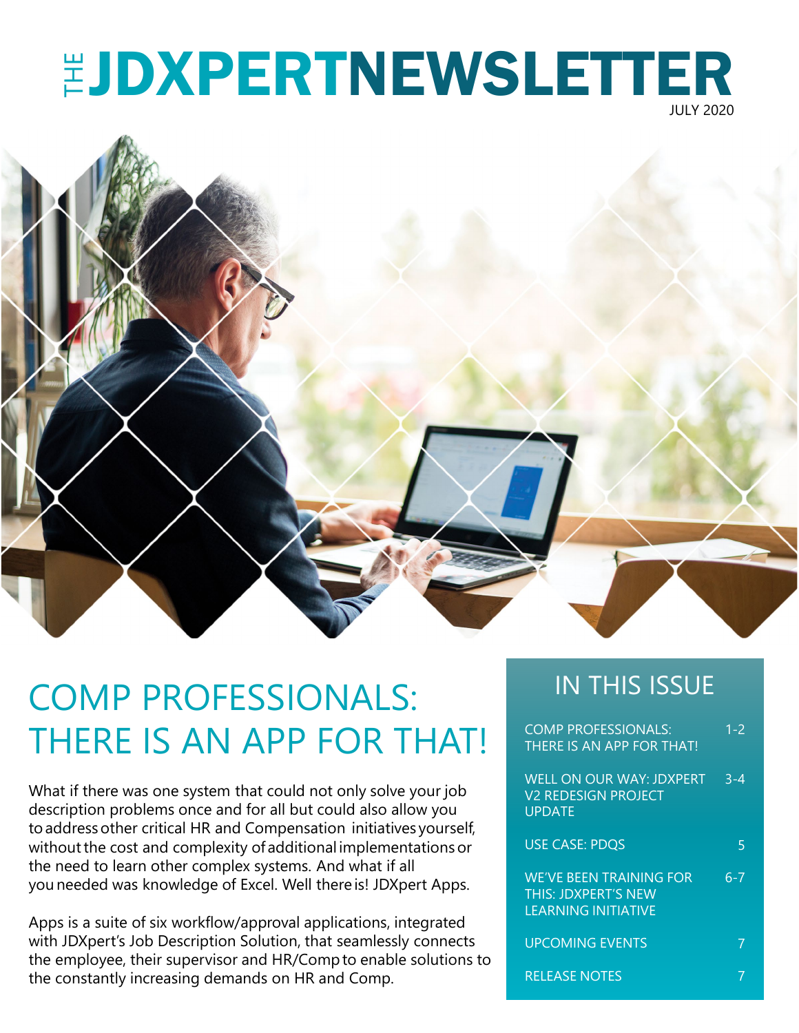## **EJDXPERTNEWSLETTER** JULY 2020



## COMP PROFESSIONALS: IN THIS ISSUE THERE IS AN APP FOR THAT!

What if there was one system that could not only solve your job description problems once and for all but could also allow you toaddressother critical HR and Compensation initiatives yourself, without the cost and complexity of additional implementations or the need to learn other complex systems. And what if all you needed was knowledge of Excel. Well there is! JDXpert Apps.

Apps is a suite of six workflow/approval applications, integrated with JDXpert's Job Description Solution, that seamlessly connects the employee, their supervisor and HR/Compto enable solutions to the constantly increasing demands on HR and Comp.

| <b>COMP PROFESSIONALS:</b><br>THERE IS AN APP FOR THAT!                                    | $1 - 2$ |
|--------------------------------------------------------------------------------------------|---------|
| WELL ON OUR WAY: JDXPERT<br><b>V2 REDESIGN PROJECT</b><br><b>UPDATE</b>                    | $3 - 4$ |
| <b>USE CASE: PDOS</b>                                                                      | 5       |
| <b>WE'VE BEEN TRAINING FOR</b><br><b>THIS: JDXPERT'S NEW</b><br><b>LEARNING INITIATIVE</b> | 6-7     |
| <b>UPCOMING EVENTS</b>                                                                     |         |
| RELEASE NOTES                                                                              |         |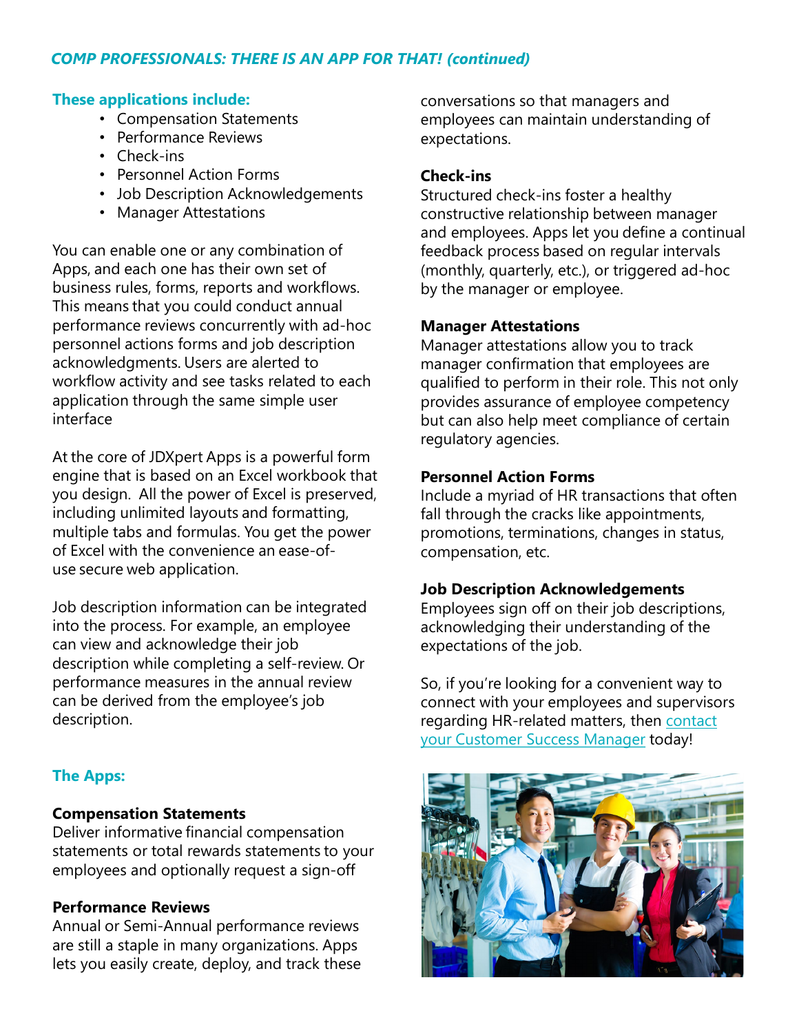### *COMP PROFESSIONALS: THERE IS AN APP FOR THAT! (continued)*

### **These applications include:**

- Compensation Statements
- Performance Reviews
- Check-ins
- Personnel Action Forms
- Job Description Acknowledgements
- Manager Attestations

You can enable one or any combination of Apps, and each one has their own set of business rules, forms, reports and workflows. This means that you could conduct annual performance reviews concurrently with ad-hoc personnel actions forms and job description acknowledgments. Users are alerted to workflow activity and see tasks related to each application through the same simple user interface

At the core of JDXpert Apps is a powerful form engine that is based on an Excel workbook that you design. All the power of Excel is preserved, including unlimited layouts and formatting, multiple tabs and formulas. You get the power of Excel with the convenience an ease-ofuse secure web application.

Job description information can be integrated into the process. For example, an employee can view and acknowledge their job description while completing a self-review. Or performance measures in the annual review can be derived from the employee's job description.

### **The Apps:**

### **Compensation Statements**

Deliver informative financial compensation statements or total rewards statements to your employees and optionally request a sign-off

### **Performance Reviews**

Annual or Semi-Annual performance reviews are still a staple in many organizations. Apps lets you easily create, deploy, and track these conversations so that managers and employees can maintain understanding of expectations.

### **Check-ins**

Structured check-ins foster a healthy constructive relationship between manager and employees. Apps let you define a continual feedback process based on regular intervals (monthly, quarterly, etc.), or triggered ad-hoc by the manager or employee.

### **Manager Attestations**

Manager attestations allow you to track manager confirmation that employees are qualified to perform in their role. This not only provides assurance of employee competency but can also help meet compliance of certain regulatory agencies.

#### **Personnel Action Forms**

Include a myriad of HR transactions that often fall through the cracks like appointments, promotions, terminations, changes in status, compensation, etc.

### **Job Description Acknowledgements**

Employees sign off on their job descriptions, acknowledging their understanding of the expectations of the job.

So, if you're looking for a convenient way to connect with your employees and supervisors [regarding HR-related matters, then contact](mailto:success@hrtms.com)  your Customer Success Manager today!

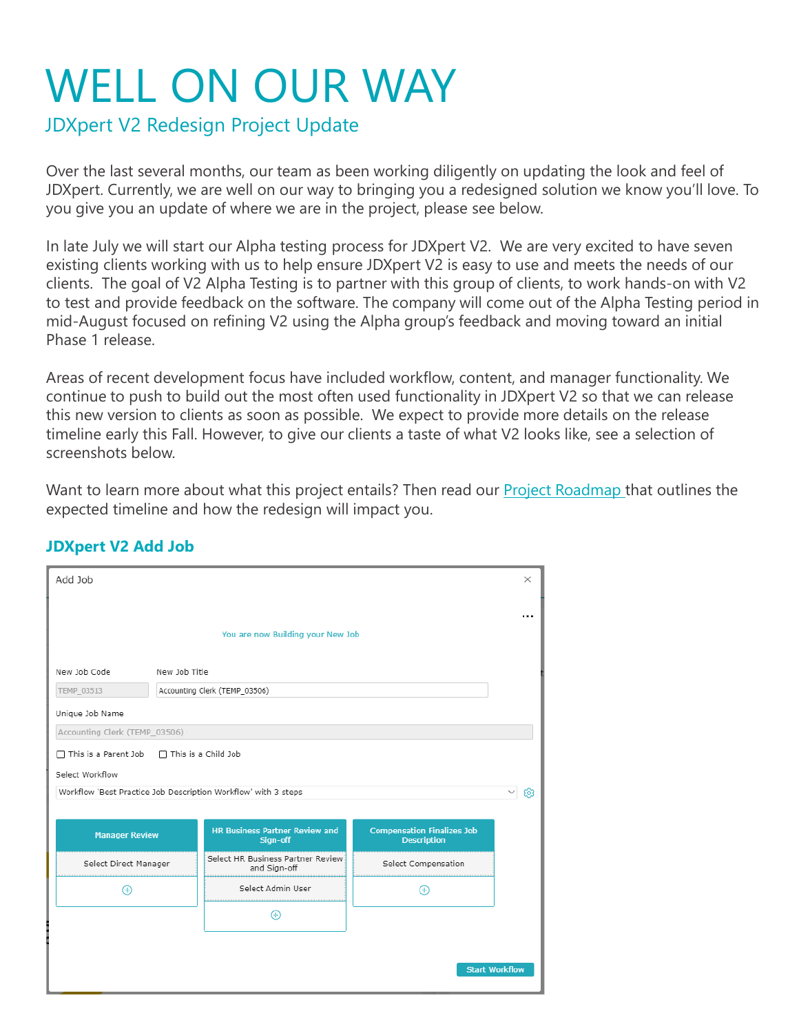## WELL ON OUR WAY

JDXpert V2 Redesign Project Update

Over the last several months, our team as been working diligently on updating the look and feel of JDXpert. Currently, we are well on our way to bringing you a redesigned solution we know you'll love. To you give you an update of where we are in the project, please see below.

In late July we will start our Alpha testing process for JDXpert V2. We are very excited to have seven existing clients working with us to help ensure JDXpert V2 is easy to use and meets the needs of our clients. The goal of V2 Alpha Testing is to partner with this group of clients, to work hands-on with V2 to test and provide feedback on the software. The company will come out of the Alpha Testing period in mid-August focused on refining V2 using the Alpha group's feedback and moving toward an initial Phase 1 release.

Areas of recent development focus have included workflow, content, and manager functionality. We continue to push to build out the most often used functionality in JDXpert V2 so that we can release this new version to clients as soon as possible. We expect to provide more details on the release timeline early this Fall. However, to give our clients a taste of what V2 looks like, see a selection of screenshots below.

Want to learn more about what this project entails? Then read our **Project Roadmap** that outlines the expected timeline and how the redesign will impact you.

| You are now Building your New Job<br>New Job Code<br>New Job Title<br>TEMP_03513<br>Accounting Clerk (TEMP_03506)<br>Unique Job Name<br>Accounting Clerk (TEMP_03506)<br>$\Box$ This is a Parent Job $\Box$ This is a Child Job<br>Select Workflow<br>Workflow 'Best Practice Job Description Workflow' with 3 steps<br>567 | Add Job |  |  |  |  | $\times$ |  |  |
|-----------------------------------------------------------------------------------------------------------------------------------------------------------------------------------------------------------------------------------------------------------------------------------------------------------------------------|---------|--|--|--|--|----------|--|--|
|                                                                                                                                                                                                                                                                                                                             |         |  |  |  |  |          |  |  |
|                                                                                                                                                                                                                                                                                                                             |         |  |  |  |  |          |  |  |
|                                                                                                                                                                                                                                                                                                                             |         |  |  |  |  |          |  |  |
|                                                                                                                                                                                                                                                                                                                             |         |  |  |  |  |          |  |  |
|                                                                                                                                                                                                                                                                                                                             |         |  |  |  |  |          |  |  |
|                                                                                                                                                                                                                                                                                                                             |         |  |  |  |  |          |  |  |
|                                                                                                                                                                                                                                                                                                                             |         |  |  |  |  |          |  |  |
|                                                                                                                                                                                                                                                                                                                             |         |  |  |  |  |          |  |  |
|                                                                                                                                                                                                                                                                                                                             |         |  |  |  |  |          |  |  |
|                                                                                                                                                                                                                                                                                                                             |         |  |  |  |  |          |  |  |
| <b>HR Business Partner Review and</b><br><b>Compensation Finalizes Job</b><br><b>Manager Review</b><br>Sign-off<br><b>Description</b>                                                                                                                                                                                       |         |  |  |  |  |          |  |  |
| Select HR Business Partner Review<br>Select Direct Manager<br>Select Compensation<br>and Sign-off                                                                                                                                                                                                                           |         |  |  |  |  |          |  |  |
| Select Admin User                                                                                                                                                                                                                                                                                                           |         |  |  |  |  |          |  |  |
|                                                                                                                                                                                                                                                                                                                             |         |  |  |  |  |          |  |  |
|                                                                                                                                                                                                                                                                                                                             |         |  |  |  |  |          |  |  |
|                                                                                                                                                                                                                                                                                                                             |         |  |  |  |  |          |  |  |
| <b>Start Workflow</b>                                                                                                                                                                                                                                                                                                       |         |  |  |  |  |          |  |  |

### **JDXpert V2 Add Job**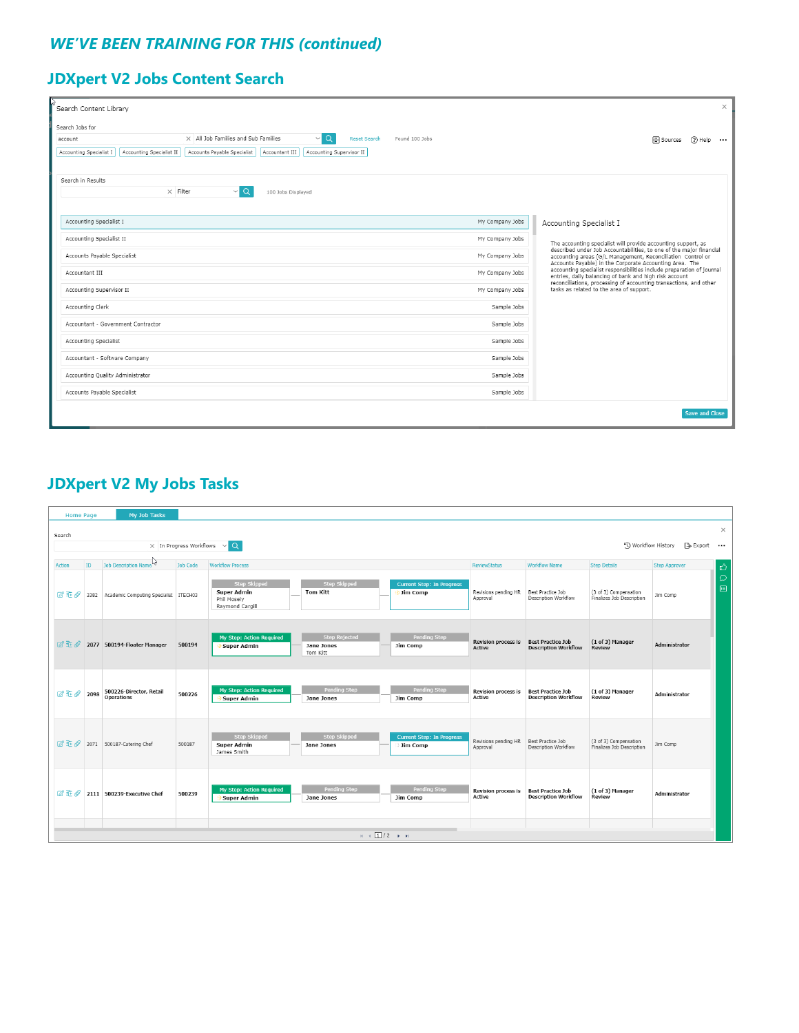### *WE'VE BEEN TRAINING FOR THIS (continued)*

### **JDXpert V2 Jobs Content Search**

| Search Content Library                                                                                                           | $\times$                                                                                                                                                                                                                                                                                                                                                                                                                                          |  |  |  |  |
|----------------------------------------------------------------------------------------------------------------------------------|---------------------------------------------------------------------------------------------------------------------------------------------------------------------------------------------------------------------------------------------------------------------------------------------------------------------------------------------------------------------------------------------------------------------------------------------------|--|--|--|--|
| Search Jobs for                                                                                                                  |                                                                                                                                                                                                                                                                                                                                                                                                                                                   |  |  |  |  |
| $\vee$ Q<br>$\times$ All Job Families and Sub Families<br><b>Reset Search</b><br>Found 100 Jobs<br>account                       | 日 Sources<br>$(2)$ Help<br>$\cdots$                                                                                                                                                                                                                                                                                                                                                                                                               |  |  |  |  |
| Accounting Specialist I<br>Accounting Specialist II<br>Accounts Payable Specialist<br>Accountant III<br>Accounting Supervisor II |                                                                                                                                                                                                                                                                                                                                                                                                                                                   |  |  |  |  |
|                                                                                                                                  |                                                                                                                                                                                                                                                                                                                                                                                                                                                   |  |  |  |  |
| Search in Results                                                                                                                |                                                                                                                                                                                                                                                                                                                                                                                                                                                   |  |  |  |  |
| $\times$ Filter<br>$\vee$ Q<br>100 Jobs Displayed                                                                                |                                                                                                                                                                                                                                                                                                                                                                                                                                                   |  |  |  |  |
|                                                                                                                                  |                                                                                                                                                                                                                                                                                                                                                                                                                                                   |  |  |  |  |
| Accounting Specialist I<br>My Company Jobs                                                                                       |                                                                                                                                                                                                                                                                                                                                                                                                                                                   |  |  |  |  |
|                                                                                                                                  | Accounting Specialist I                                                                                                                                                                                                                                                                                                                                                                                                                           |  |  |  |  |
| Accounting Specialist II<br>My Company Jobs                                                                                      | The accounting specialist will provide accounting support, as                                                                                                                                                                                                                                                                                                                                                                                     |  |  |  |  |
| Accounts Payable Specialist<br>My Company Jobs                                                                                   | described under Job Accountabilities, to one of the major financial<br>accounting areas (G/L Management, Reconciliation Control or<br>Accounts Payable) in the Corporate Accounting Area. The<br>accounting specialist responsibilities include preparation of journal<br>entries, daily balancing of bank and high risk account<br>reconciliations, processing of accounting transactions, and other<br>tasks as related to the area of support. |  |  |  |  |
| My Company Jobs<br>Accountant III                                                                                                |                                                                                                                                                                                                                                                                                                                                                                                                                                                   |  |  |  |  |
| Accounting Supervisor II<br>My Company Jobs                                                                                      |                                                                                                                                                                                                                                                                                                                                                                                                                                                   |  |  |  |  |
| Accounting Clerk<br>Sample Jobs                                                                                                  |                                                                                                                                                                                                                                                                                                                                                                                                                                                   |  |  |  |  |
| Accountant - Government Contractor<br>Sample Jobs                                                                                |                                                                                                                                                                                                                                                                                                                                                                                                                                                   |  |  |  |  |
| Sample Jobs<br>Accounting Specialist                                                                                             |                                                                                                                                                                                                                                                                                                                                                                                                                                                   |  |  |  |  |
| Accountant - Software Company                                                                                                    | Sample Jobs                                                                                                                                                                                                                                                                                                                                                                                                                                       |  |  |  |  |
| Accounting Quality Administrator<br>Sample Jobs                                                                                  |                                                                                                                                                                                                                                                                                                                                                                                                                                                   |  |  |  |  |
| Accounts Payable Specialist<br>Sample Jobs                                                                                       |                                                                                                                                                                                                                                                                                                                                                                                                                                                   |  |  |  |  |
|                                                                                                                                  | <b>Save and Close</b>                                                                                                                                                                                                                                                                                                                                                                                                                             |  |  |  |  |

### **JDXpert V2 My Jobs Tasks**

| <b>Home Page</b>                                 |                                                                                 | My Job Tasks                               |                 |                                                                             |                                                |                                              |                                      |                                                         |                                                    |                      |               |
|--------------------------------------------------|---------------------------------------------------------------------------------|--------------------------------------------|-----------------|-----------------------------------------------------------------------------|------------------------------------------------|----------------------------------------------|--------------------------------------|---------------------------------------------------------|----------------------------------------------------|----------------------|---------------|
| $\times$<br>Search                               |                                                                                 |                                            |                 |                                                                             |                                                |                                              |                                      |                                                         |                                                    |                      |               |
|                                                  | $\vee$ Q<br>Workflow History<br>[ Bo Export …<br>$\times$ In Progress Workflows |                                            |                 |                                                                             |                                                |                                              |                                      |                                                         |                                                    |                      |               |
| <b>Action</b>                                    | <b>ID</b>                                                                       | Job Description Name                       | <b>Job Code</b> | <b>Workflow Process</b>                                                     |                                                |                                              | <b>ReviewStatus</b>                  | <b>Workflow Name</b>                                    | <b>Step Details</b>                                | <b>Step Approver</b> | 凸             |
| $\mathbb{Z}$ if $\mathscr{Q}$                    |                                                                                 | 3382 Academic Computing Specialist ITECH03 |                 | <b>Step Skipped</b><br><b>Super Admin</b><br>Phil Moselv<br>Raymond Cargill | <b>Step Skipped</b><br><b>Tom Kitt</b>         | <b>Current Step: In Progress</b><br>Jim Comp | Revisions pending HR<br>Approval     | Best Practice Job<br>Description Workflow               | (3 of 3) Compensation<br>Finalizes Job Description | Jim Comp             | $\Omega$<br>画 |
| <b>図 亚 Q</b>                                     |                                                                                 | 2077 500194-Floater Manager                | 500194          | My Step: Action Required<br>Super Admin                                     | <b>Step Rejected</b><br>Jane Jones<br>Tom Kitt | Pending Step<br>Jim Comp                     | Revision process is<br>Active        | <b>Best Practice Job</b><br><b>Description Workflow</b> | (1 of 3) Manager<br><b>Review</b>                  | Administrator        |               |
| <b>B亚Q</b>                                       | 2098                                                                            | 500226-Director, Retail<br>Operations      | 500226          | My Step: Action Required<br><b>Super Admin</b>                              | Pending Step<br>Jane Jones                     | Pending Step<br>Jim Comp                     | <b>Revision process is</b><br>Active | <b>Best Practice Job</b><br><b>Description Workflow</b> | (1 of 3) Manager<br>Review                         | Administrator        |               |
|                                                  |                                                                                 | 2071 500187-Catering Chef                  | 500187          | <b>Step Skipped</b><br><b>Super Admin</b><br>James Smith                    | <b>Step Skipped</b><br>Jane Jones              | <b>Current Step: In Progress</b><br>Jim Comp | Revisions pending HR<br>Approval     | Best Practice Job<br>Description Workflow               | (3 of 3) Compensation<br>Finalizes Job Description | Jim Comp             |               |
| $2 + 0$                                          |                                                                                 | 2111 500239-Executive Chef                 | 500239          | My Step: Action Required<br><b>Super Admin</b>                              | <b>Pending Step</b><br>Jane Jones              | Pending Step<br>Jim Comp                     | Revision process is<br>Active        | <b>Best Practice Job</b><br><b>Description Workflow</b> | (1 of 3) Manager<br><b>Review</b>                  | Administrator        |               |
| $H = \left[\frac{1}{2}\right] / 2 \rightarrow H$ |                                                                                 |                                            |                 |                                                                             |                                                |                                              |                                      |                                                         |                                                    |                      |               |
|                                                  |                                                                                 |                                            |                 |                                                                             |                                                |                                              |                                      |                                                         |                                                    |                      |               |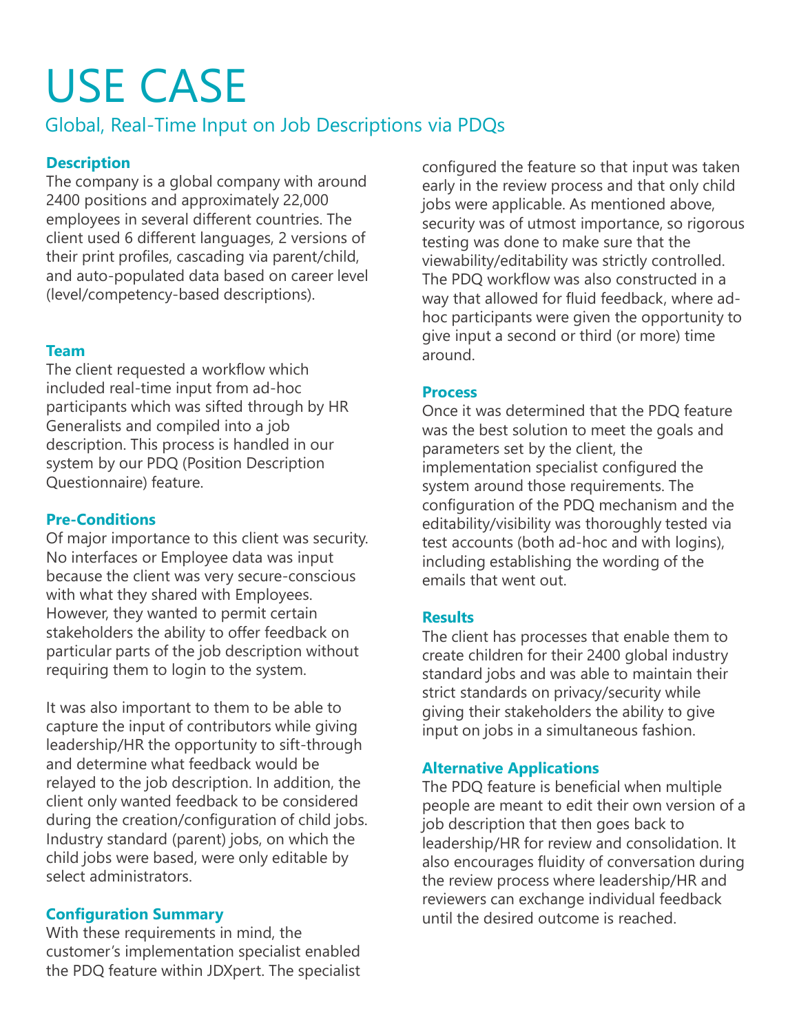# USE CASE

### Global, Real-Time Input on Job Descriptions via PDQs

### **Description**

The company is a global company with around 2400 positions and approximately 22,000 employees in several different countries. The client used 6 different languages, 2 versions of their print profiles, cascading via parent/child, and auto-populated data based on career level (level/competency-based descriptions).

### **Team**

The client requested a workflow which included real-time input from ad-hoc participants which was sifted through by HR Generalists and compiled into a job description. This process is handled in our system by our PDQ (Position Description Questionnaire) feature.

### **Pre-Conditions**

Of major importance to this client was security. No interfaces or Employee data was input because the client was very secure-conscious with what they shared with Employees. However, they wanted to permit certain stakeholders the ability to offer feedback on particular parts of the job description without requiring them to login to the system.

It was also important to them to be able to capture the input of contributors while giving leadership/HR the opportunity to sift-through and determine what feedback would be relayed to the job description. In addition, the client only wanted feedback to be considered during the creation/configuration of child jobs. Industry standard (parent) jobs, on which the child jobs were based, were only editable by select administrators.

### **Configuration Summary**

With these requirements in mind, the customer's implementation specialist enabled the PDQ feature within JDXpert. The specialist

configured the feature so that input was taken early in the review process and that only child jobs were applicable. As mentioned above, security was of utmost importance, so rigorous testing was done to make sure that the viewability/editability was strictly controlled. The PDQ workflow was also constructed in a way that allowed for fluid feedback, where adhoc participants were given the opportunity to give input a second or third (or more) time around.

### **Process**

Once it was determined that the PDQ feature was the best solution to meet the goals and parameters set by the client, the implementation specialist configured the system around those requirements. The configuration of the PDQ mechanism and the editability/visibility was thoroughly tested via test accounts (both ad-hoc and with logins), including establishing the wording of the emails that went out.

### **Results**

The client has processes that enable them to create children for their 2400 global industry standard jobs and was able to maintain their strict standards on privacy/security while giving their stakeholders the ability to give input on jobs in a simultaneous fashion.

### **Alternative Applications**

The PDQ feature is beneficial when multiple people are meant to edit their own version of a job description that then goes back to leadership/HR for review and consolidation. It also encourages fluidity of conversation during the review process where leadership/HR and reviewers can exchange individual feedback until the desired outcome is reached.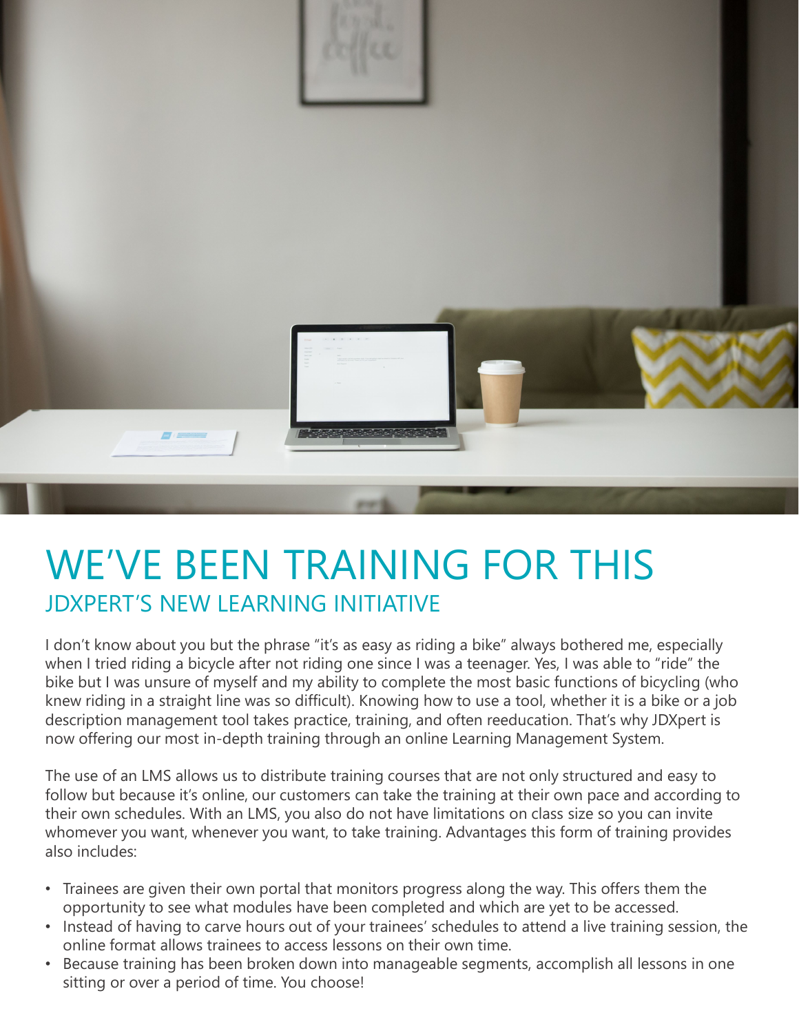

## WE'VE BEEN TRAINING FOR THIS JDXPERT'S NEW LEARNING INITIATIVE

I don't know about you but the phrase "it's as easy as riding a bike" always bothered me, especially when I tried riding a bicycle after not riding one since I was a teenager. Yes, I was able to "ride" the bike but I was unsure of myself and my ability to complete the most basic functions of bicycling (who knew riding in a straight line was so difficult). Knowing how to use a tool, whether it is a bike or a job description management tool takes practice, training, and often reeducation. That's why JDXpert is now offering our most in-depth training through an online Learning Management System.

The use of an LMS allows us to distribute training courses that are not only structured and easy to follow but because it's online, our customers can take the training at their own pace and according to their own schedules. With an LMS, you also do not have limitations on class size so you can invite whomever you want, whenever you want, to take training. Advantages this form of training provides also includes:

- Trainees are given their own portal that monitors progress along the way. This offers them the opportunity to see what modules have been completed and which are yet to be accessed.
- Instead of having to carve hours out of your trainees' schedules to attend a live training session, the online format allows trainees to access lessons on their own time.
- Because training has been broken down into manageable segments, accomplish all lessons in one sitting or over a period of time. You choose!